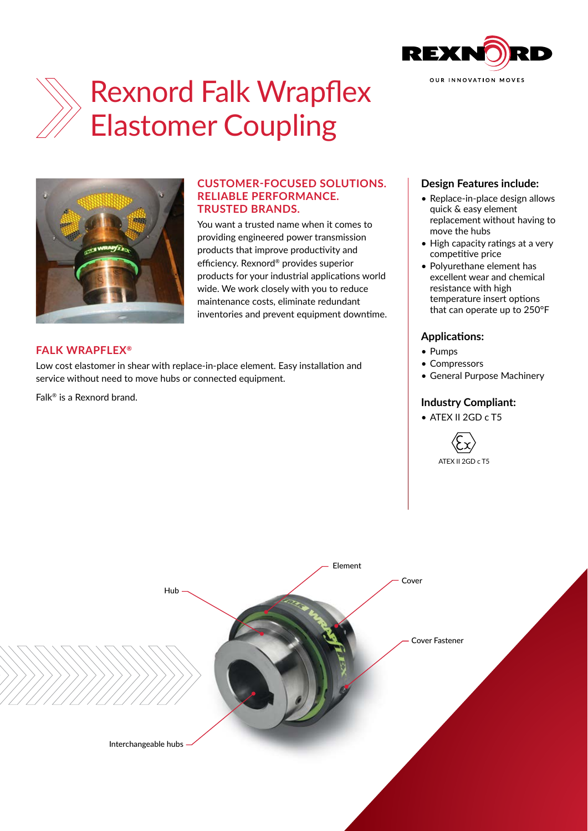

# Rexnord Falk Wrapflex Elastomer Coupling



# **CUSTOMER-FOCUSED SOLUTIONS. RELIABLE PERFORMANCE. TRUSTED BRANDS.**

You want a trusted name when it comes to providing engineered power transmission products that improve productivity and efficiency. Rexnord® provides superior products for your industrial applications world wide. We work closely with you to reduce maintenance costs, eliminate redundant inventories and prevent equipment downtime.

### **FALK WRAPFLEX®**

Low cost elastomer in shear with replace-in-place element. Easy installation and service without need to move hubs or connected equipment.

Falk® is a Rexnord brand.

#### **Design Features include:**

- Replace-in-place design allows quick & easy element replacement without having to move the hubs
- High capacity ratings at a very competitive price
- Polyurethane element has excellent wear and chemical resistance with high temperature insert options that can operate up to 250°F

# **Applications:**

- Pumps
- Compressors
- General Purpose Machinery

### **Industry Compliant:**

• ATEX II 2GD c T5